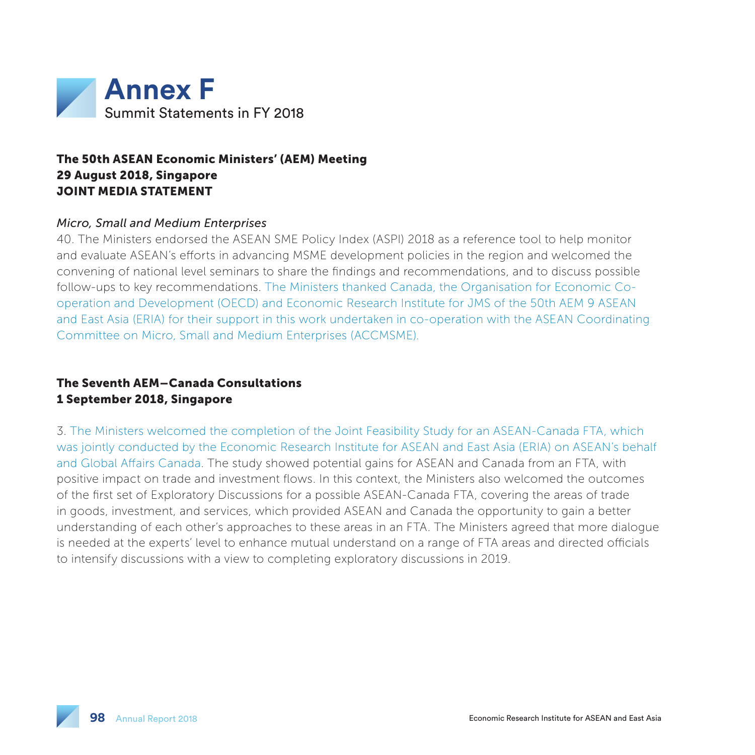

## The 50th ASEAN Economic Ministers' (AEM) Meeting 29 August 2018, Singapore JOINT MEDIA STATEMENT

#### *Micro, Small and Medium Enterprises*

40. The Ministers endorsed the ASEAN SME Policy Index (ASPI) 2018 as a reference tool to help monitor and evaluate ASEAN's efforts in advancing MSME development policies in the region and welcomed the convening of national level seminars to share the findings and recommendations, and to discuss possible follow-ups to key recommendations. The Ministers thanked Canada, the Organisation for Economic Cooperation and Development (OECD) and Economic Research Institute for JMS of the 50th AEM 9 ASEAN and East Asia (ERIA) for their support in this work undertaken in co-operation with the ASEAN Coordinating Committee on Micro, Small and Medium Enterprises (ACCMSME).

### The Seventh AEM–Canada Consultations 1 September 2018, Singapore

3. The Ministers welcomed the completion of the Joint Feasibility Study for an ASEAN-Canada FTA, which was jointly conducted by the Economic Research Institute for ASEAN and East Asia (ERIA) on ASEAN's behalf and Global Affairs Canada. The study showed potential gains for ASEAN and Canada from an FTA, with positive impact on trade and investment flows. In this context, the Ministers also welcomed the outcomes of the first set of Exploratory Discussions for a possible ASEAN-Canada FTA, covering the areas of trade in goods, investment, and services, which provided ASEAN and Canada the opportunity to gain a better understanding of each other's approaches to these areas in an FTA. The Ministers agreed that more dialogue is needed at the experts' level to enhance mutual understand on a range of FTA areas and directed officials to intensify discussions with a view to completing exploratory discussions in 2019.

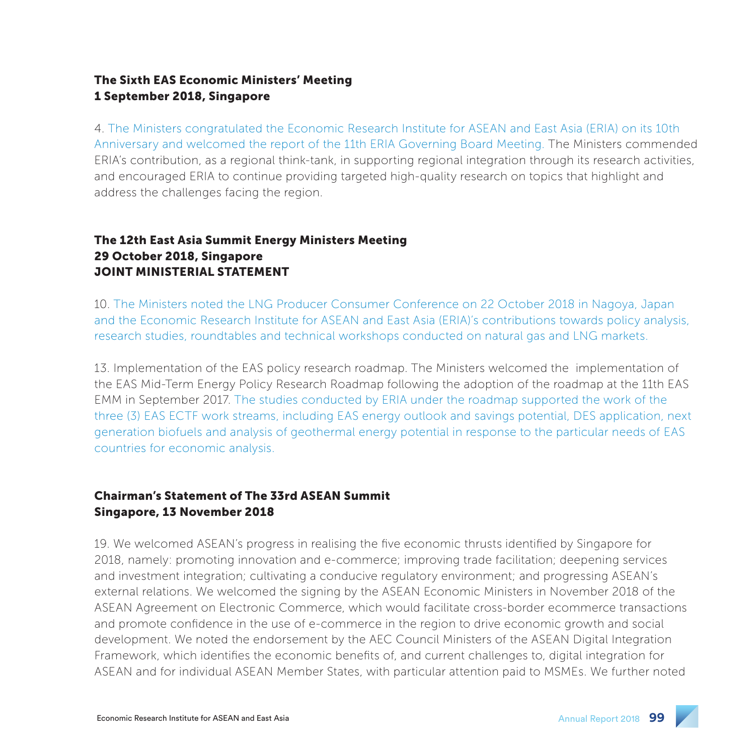## The Sixth EAS Economic Ministers' Meeting 1 September 2018, Singapore

4. The Ministers congratulated the Economic Research Institute for ASEAN and East Asia (ERIA) on its 10th Anniversary and welcomed the report of the 11th ERIA Governing Board Meeting. The Ministers commended ERIA's contribution, as a regional think-tank, in supporting regional integration through its research activities, and encouraged ERIA to continue providing targeted high-quality research on topics that highlight and address the challenges facing the region.

## The 12th East Asia Summit Energy Ministers Meeting 29 October 2018, Singapore JOINT MINISTERIAL STATEMENT

10. The Ministers noted the LNG Producer Consumer Conference on 22 October 2018 in Nagoya, Japan and the Economic Research Institute for ASEAN and East Asia (ERIA)'s contributions towards policy analysis, research studies, roundtables and technical workshops conducted on natural gas and LNG markets.

13. Implementation of the EAS policy research roadmap. The Ministers welcomed the implementation of the EAS Mid-Term Energy Policy Research Roadmap following the adoption of the roadmap at the 11th EAS EMM in September 2017. The studies conducted by ERIA under the roadmap supported the work of the three (3) EAS ECTF work streams, including EAS energy outlook and savings potential, DES application, next generation biofuels and analysis of geothermal energy potential in response to the particular needs of EAS countries for economic analysis.

## Chairman's Statement of The 33rd ASEAN Summit Singapore, 13 November 2018

19. We welcomed ASEAN's progress in realising the five economic thrusts identified by Singapore for 2018, namely: promoting innovation and e-commerce; improving trade facilitation; deepening services and investment integration; cultivating a conducive regulatory environment; and progressing ASEAN's external relations. We welcomed the signing by the ASEAN Economic Ministers in November 2018 of the ASEAN Agreement on Electronic Commerce, which would facilitate cross-border ecommerce transactions and promote confidence in the use of e-commerce in the region to drive economic growth and social development. We noted the endorsement by the AEC Council Ministers of the ASEAN Digital Integration Framework, which identifies the economic benefits of, and current challenges to, digital integration for ASEAN and for individual ASEAN Member States, with particular attention paid to MSMEs. We further noted

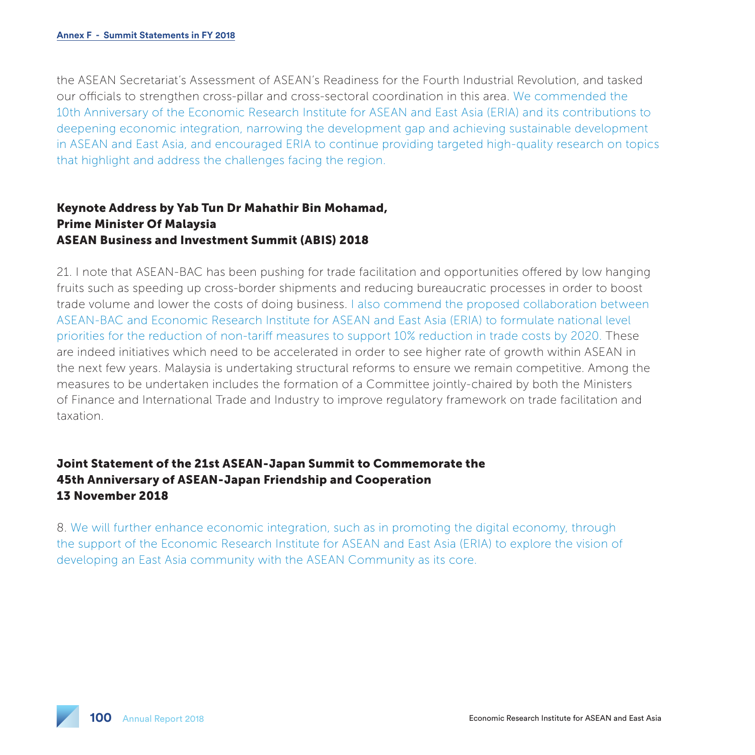the ASEAN Secretariat's Assessment of ASEAN's Readiness for the Fourth Industrial Revolution, and tasked our officials to strengthen cross-pillar and cross-sectoral coordination in this area. We commended the 10th Anniversary of the Economic Research Institute for ASEAN and East Asia (ERIA) and its contributions to deepening economic integration, narrowing the development gap and achieving sustainable development in ASEAN and East Asia, and encouraged ERIA to continue providing targeted high-quality research on topics that highlight and address the challenges facing the region.

### Keynote Address by Yab Tun Dr Mahathir Bin Mohamad, Prime Minister Of Malaysia ASEAN Business and Investment Summit (ABIS) 2018

21. I note that ASEAN-BAC has been pushing for trade facilitation and opportunities offered by low hanging fruits such as speeding up cross-border shipments and reducing bureaucratic processes in order to boost trade volume and lower the costs of doing business. I also commend the proposed collaboration between ASEAN-BAC and Economic Research Institute for ASEAN and East Asia (ERIA) to formulate national level priorities for the reduction of non-tariff measures to support 10% reduction in trade costs by 2020. These are indeed initiatives which need to be accelerated in order to see higher rate of growth within ASEAN in the next few years. Malaysia is undertaking structural reforms to ensure we remain competitive. Among the measures to be undertaken includes the formation of a Committee jointly-chaired by both the Ministers of Finance and International Trade and Industry to improve regulatory framework on trade facilitation and taxation.

# Joint Statement of the 21st ASEAN-Japan Summit to Commemorate the 45th Anniversary of ASEAN-Japan Friendship and Cooperation 13 November 2018

8. We will further enhance economic integration, such as in promoting the digital economy, through the support of the Economic Research Institute for ASEAN and East Asia (ERIA) to explore the vision of developing an East Asia community with the ASEAN Community as its core.

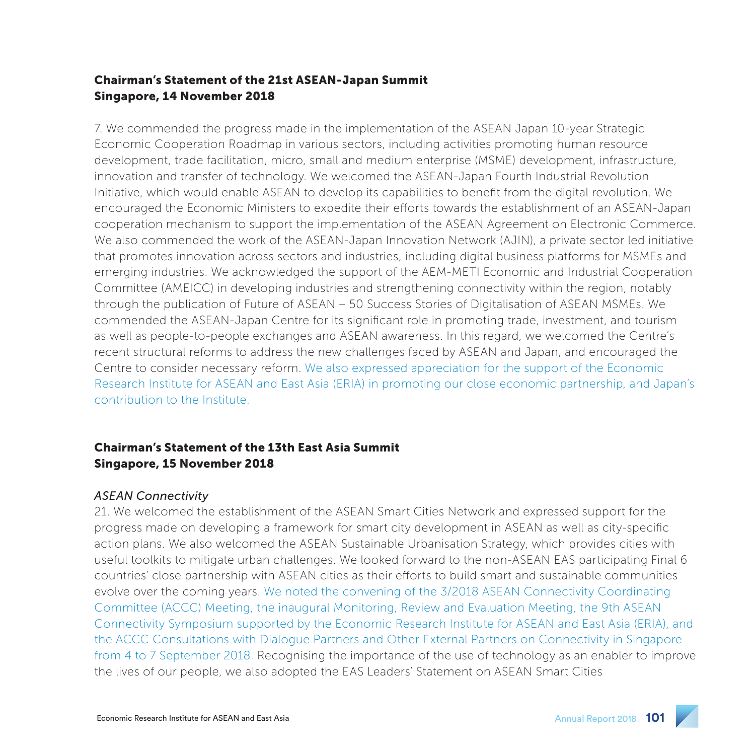## Chairman's Statement of the 21st ASEAN-Japan Summit Singapore, 14 November 2018

7. We commended the progress made in the implementation of the ASEAN Japan 10-year Strategic Economic Cooperation Roadmap in various sectors, including activities promoting human resource development, trade facilitation, micro, small and medium enterprise (MSME) development, infrastructure, innovation and transfer of technology. We welcomed the ASEAN-Japan Fourth Industrial Revolution Initiative, which would enable ASEAN to develop its capabilities to benefit from the digital revolution. We encouraged the Economic Ministers to expedite their efforts towards the establishment of an ASEAN-Japan cooperation mechanism to support the implementation of the ASEAN Agreement on Electronic Commerce. We also commended the work of the ASEAN-Japan Innovation Network (AJIN), a private sector led initiative that promotes innovation across sectors and industries, including digital business platforms for MSMEs and emerging industries. We acknowledged the support of the AEM-METI Economic and Industrial Cooperation Committee (AMEICC) in developing industries and strengthening connectivity within the region, notably through the publication of Future of ASEAN – 50 Success Stories of Digitalisation of ASEAN MSMEs. We commended the ASEAN-Japan Centre for its significant role in promoting trade, investment, and tourism as well as people-to-people exchanges and ASEAN awareness. In this regard, we welcomed the Centre's recent structural reforms to address the new challenges faced by ASEAN and Japan, and encouraged the Centre to consider necessary reform. We also expressed appreciation for the support of the Economic Research Institute for ASEAN and East Asia (ERIA) in promoting our close economic partnership, and Japan's contribution to the Institute.

## Chairman's Statement of the 13th East Asia Summit Singapore, 15 November 2018

#### *ASEAN Connectivity*

21. We welcomed the establishment of the ASEAN Smart Cities Network and expressed support for the progress made on developing a framework for smart city development in ASEAN as well as city-specific action plans. We also welcomed the ASEAN Sustainable Urbanisation Strategy, which provides cities with useful toolkits to mitigate urban challenges. We looked forward to the non-ASEAN EAS participating Final 6 countries' close partnership with ASEAN cities as their efforts to build smart and sustainable communities evolve over the coming years. We noted the convening of the 3/2018 ASEAN Connectivity Coordinating Committee (ACCC) Meeting, the inaugural Monitoring, Review and Evaluation Meeting, the 9th ASEAN Connectivity Symposium supported by the Economic Research Institute for ASEAN and East Asia (ERIA), and the ACCC Consultations with Dialogue Partners and Other External Partners on Connectivity in Singapore from 4 to 7 September 2018. Recognising the importance of the use of technology as an enabler to improve the lives of our people, we also adopted the EAS Leaders' Statement on ASEAN Smart Cities